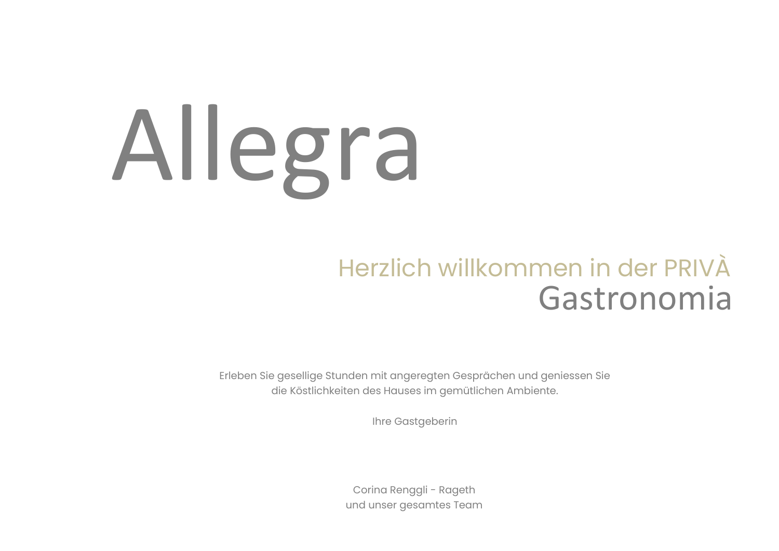# Allegra

#### Herzlich willkommen in der PRIVÀ Gastronomia

Erleben Sie gesellige Stunden mit angeregten Gesprächen und geniessen Sie die Köstlichkeiten des Hauses im gemütlichen Ambiente.

Ihre Gastgeberin

Corina Renggli - Rageth und unser gesamtes Team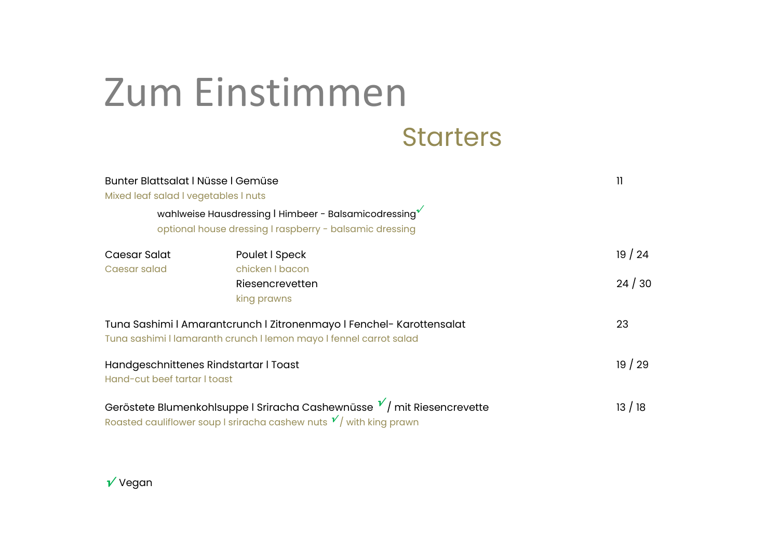## Zum Einstimmen

#### **Starters**

| Bunter Blattsalat I Nüsse I Gemüse<br>Mixed leaf salad I vegetables I nuts |                                                                                                                                                   | 11             |
|----------------------------------------------------------------------------|---------------------------------------------------------------------------------------------------------------------------------------------------|----------------|
|                                                                            | wahlweise Hausdressing   Himbeer - Balsamicodressing<br>optional house dressing I raspberry - balsamic dressing                                   |                |
| Caesar Salat<br>Caesar salad                                               | Poulet I Speck<br>chicken I bacon<br>Riesencrevetten<br>king prawns                                                                               | 19/24<br>24/30 |
|                                                                            | Tuna Sashimi I Amarantcrunch I Zitronenmayo I Fenchel- Karottensalat<br>Tuna sashimi I lamaranth crunch I lemon mayo I fennel carrot salad        | 23             |
| Hand-cut beef tartar I toast                                               | Handgeschnittenes Rindstartar I Toast                                                                                                             | 19/29          |
|                                                                            | Geröstete Blumenkohlsuppe I Sriracha Cashewnüsse $V$ / mit Riesencrevette<br>Roasted cauliflower soup I sriracha cashew nuts $v'$ with king prawn | 13/18          |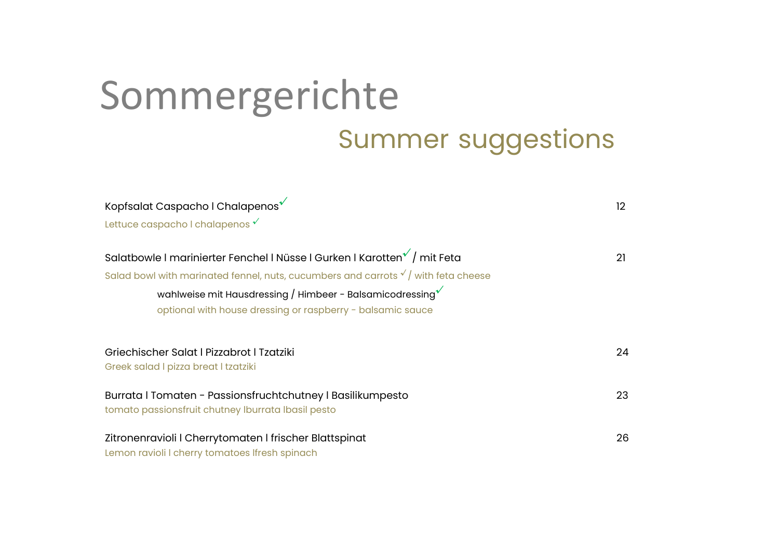## Summer suggestions Sommergerichte

| Kopfsalat Caspacho I Chalapenos <sup>√</sup>                                                                                                                                                                                                                                                                            | $12 \overline{ }$ |
|-------------------------------------------------------------------------------------------------------------------------------------------------------------------------------------------------------------------------------------------------------------------------------------------------------------------------|-------------------|
| Lettuce caspacho I chalapenos $\checkmark$                                                                                                                                                                                                                                                                              |                   |
| Salatbowle I marinierter Fenchel I Nüsse I Gurken I Karotten <sup>√</sup> / mit Feta<br>Salad bowl with marinated fennel, nuts, cucumbers and carrots $\sqrt{ }$ with feta cheese<br>wahlweise mit Hausdressing / Himbeer - Balsamicodressing $\sqrt{\ }$<br>optional with house dressing or raspberry - balsamic sauce | 21                |
| Griechischer Salat I Pizzabrot I Tzatziki<br>Greek salad I pizza breat I tzatziki                                                                                                                                                                                                                                       | 24                |
| Burrata   Tomaten - Passionsfruchtchutney   Basilikumpesto<br>tomato passionsfruit chutney Iburrata Ibasil pesto                                                                                                                                                                                                        | 23                |
| Zitronenravioli I Cherrytomaten I frischer Blattspinat<br>Lemon ravioli I cherry tomatoes Ifresh spinach                                                                                                                                                                                                                | 26                |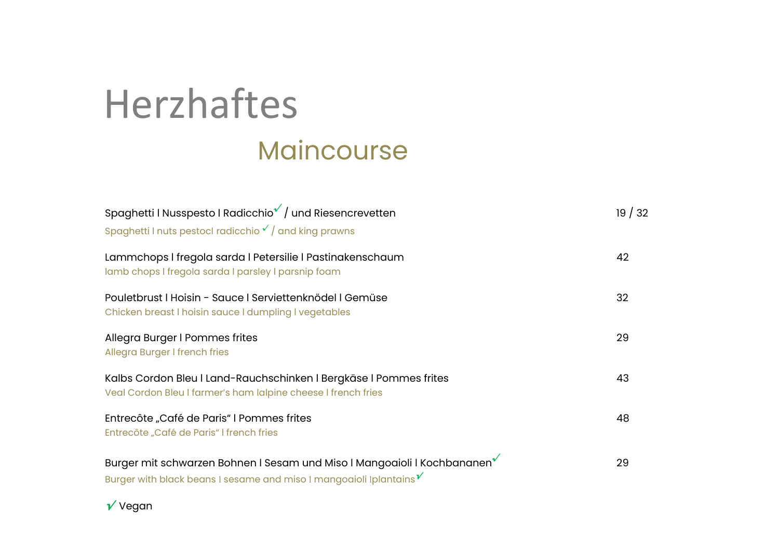## Maincourse Herzhaftes

| Spaghetti   Nusspesto   Radicchio / / und Riesencrevetten<br>Spaghetti I nuts pestocl radicchio $\sqrt{\ }$ and king prawns                                   | 19/32 |
|---------------------------------------------------------------------------------------------------------------------------------------------------------------|-------|
| Lammchops I fregola sarda I Petersilie I Pastinakenschaum<br>lamb chops I fregola sarda I parsley I parsnip foam                                              | 42    |
| Pouletbrust   Hoisin - Sauce   Serviettenknödel   Gemüse<br>Chicken breast I hoisin sauce I dumpling I vegetables                                             | 32    |
| Allegra Burger I Pommes frites<br>Allegra Burger I french fries                                                                                               | 29    |
| Kalbs Cordon Bleu I Land-Rauchschinken I Bergkäse I Pommes frites<br>Veal Cordon Bleu I farmer's ham lalpine cheese I french fries                            | 43    |
| Entrecôte "Café de Paris" I Pommes frites<br>Entrecôte "Café de Paris" I french fries                                                                         | 48    |
| Burger mit schwarzen Bohnen I Sesam und Miso I Mangoaioli I Kochbananen <sup>*</sup><br>Burger with black beans I sesame and miso I mangoaioli Iplantains $V$ | 29    |

**√** Vegan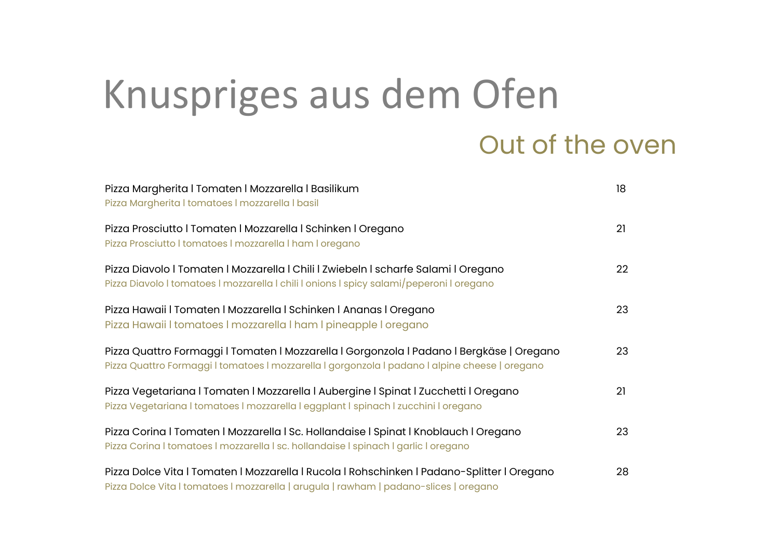## Knuspriges aus dem Ofen

#### Out of the oven

| Pizza Margherita   Tomaten   Mozzarella   Basilikum<br>Pizza Margherita I tomatoes I mozzarella I basil                                                                                    | 18 |
|--------------------------------------------------------------------------------------------------------------------------------------------------------------------------------------------|----|
| Pizza Prosciutto I Tomaten I Mozzarella I Schinken I Oregano<br>Pizza Prosciutto I tomatoes I mozzarella I ham I oregano                                                                   | 21 |
| Pizza Diavolo I Tomaten I Mozzarella I Chili I Zwiebeln I scharfe Salami I Oregano<br>Pizza Diavolo I tomatoes I mozzarella I chili I onions I spicy salami/peperoni I oregano             | 22 |
| Pizza Hawaii I Tomaten I Mozzarella I Schinken I Ananas I Oregano<br>Pizza Hawaii I tomatoes I mozzarella I ham I pineapple I oregano                                                      | 23 |
| Pizza Quattro Formaggi I Tomaten I Mozzarella I Gorgonzola I Padano I Bergkäse   Oregano<br>Pizza Quattro Formaggi I tomatoes I mozzarella I gorgonzola I padano I alpine cheese   oregano | 23 |
| Pizza Vegetariana   Tomaten   Mozzarella   Aubergine   Spinat   Zucchetti   Oregano<br>Pizza Vegetariana I tomatoes I mozzarella I eggplant I spinach I zucchini I oregano                 | 21 |
| Pizza Corina   Tomaten   Mozzarella   Sc. Hollandaise   Spinat   Knoblauch   Oregano<br>Pizza Corina I tomatoes I mozzarella I sc. hollandaise I spinach I garlic I oregano                | 23 |
| Pizza Dolce Vita I Tomaten I Mozzarella I Rucola I Rohschinken I Padano-Splitter I Oregano<br>Pizza Dolce Vita I tomatoes I mozzarella   arugula   rawham   padano-slices   oregano        | 28 |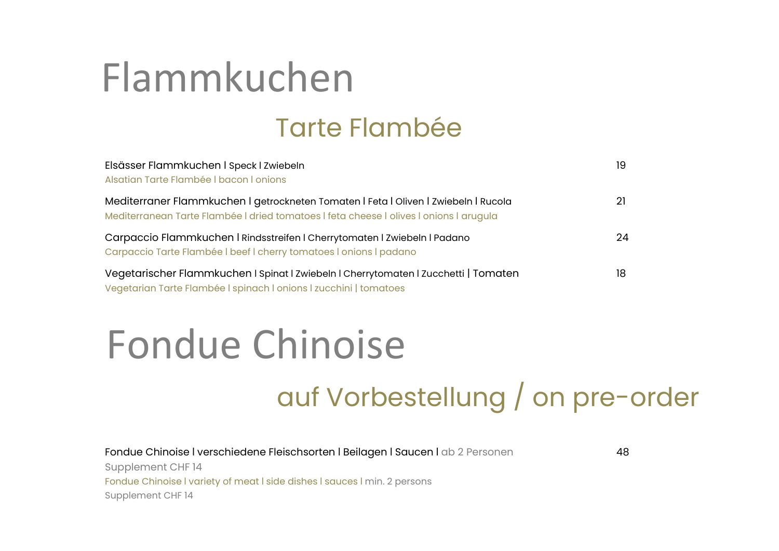## Flammkuchen

#### Tarte Flambée

| Elsässer Flammkuchen I Speck I Zwiebeln<br>Alsatian Tarte Flambée   bacon   onions                                                                                            | 19 |
|-------------------------------------------------------------------------------------------------------------------------------------------------------------------------------|----|
| Mediterraner Flammkuchen I getrockneten Tomaten I Feta I Oliven I Zwiebeln I Rucola<br>Mediterranean Tarte Flambée I dried tomatoes I feta cheese I olives I onions I arugula |    |
| Carpaccio Flammkuchen   Rindsstreifen   Cherrytomaten   Zwiebeln   Padano<br>Carpaccio Tarte Flambée I beef I cherry tomatoes I onions I padano                               | 24 |
| Vegetarischer Flammkuchen I Spinat I Zwiebeln I Cherrytomaten I Zucchetti   Tomaten<br>Vegetarian Tarte Flambée I spinach I onions I zucchini   tomatoes                      | 18 |

### Fondue Chinoise

#### auf Vorbestellung / on pre-order

Fondue Chinoise I verschiedene Fleischsorten I Beilagen I Saucen I ab 2 Personen 48 Supplement CHF 14 Fondue Chinoise I variety of meat I side dishes I sauces I min. 2 persons Supplement CHF 14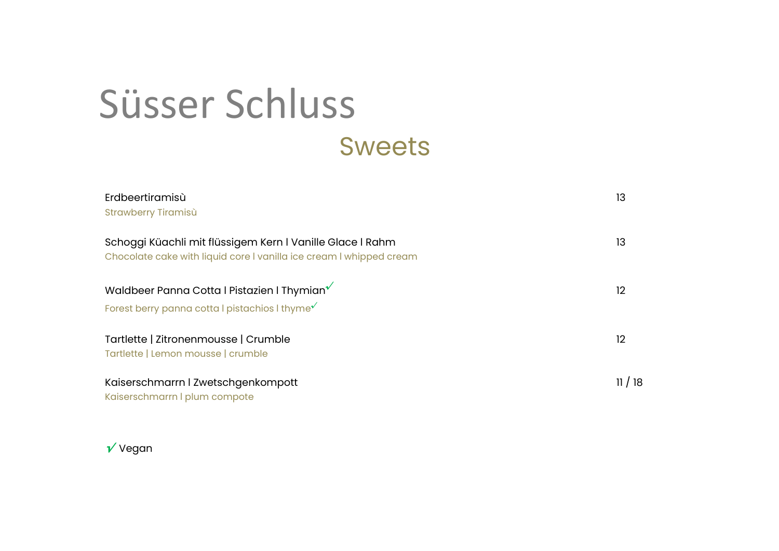#### Süsser Schluss Sweets

| Erdbeertiramisù<br>Strawberry Tiramisù                                                                                                      | 13    |
|---------------------------------------------------------------------------------------------------------------------------------------------|-------|
| Schoggi Küachli mit flüssigem Kern I Vanille Glace I Rahm<br>Chocolate cake with liquid core I vanilla ice cream I whipped cream            | 13    |
| Waldbeer Panna Cotta I Pistazien I Thymian <sup>V</sup><br>Forest berry panna cotta I pistachios I thyme <sup><math>\checkmark</math></sup> | 12    |
| Tartlette   Zitronenmousse   Crumble<br>Tartlette   Lemon mousse   crumble                                                                  | 12    |
| Kaiserschmarrn I Zwetschgenkompott<br>Kaiserschmarrn I plum compote                                                                         | 11/18 |

**√** Vegan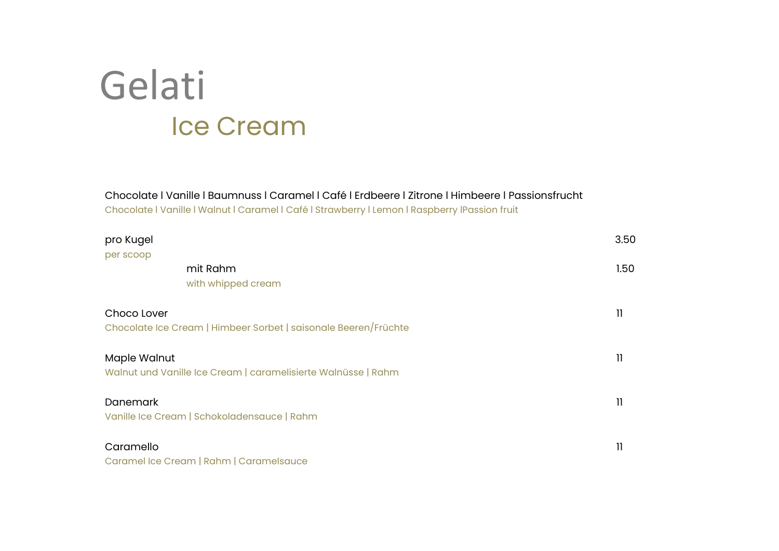#### Ice Cream Gelati

Chocolate ℓ Vanille ℓ Baumnuss ℓ Caramel ℓ Café ℓ Erdbeere ℓ Zitrone ℓ Himbeere ℓ Passionsfrucht Chocolate | Vanille | Walnut | Caramel | Café | Strawberry | Lemon | Raspberry | Passion fruit

| pro Kugel       |                                                                 | 3.50         |
|-----------------|-----------------------------------------------------------------|--------------|
| per scoop       |                                                                 |              |
|                 | mit Rahm                                                        | 1.50         |
|                 | with whipped cream                                              |              |
| Choco Lover     |                                                                 | 11           |
|                 | Chocolate Ice Cream   Himbeer Sorbet   saisonale Beeren/Früchte |              |
| Maple Walnut    |                                                                 | 11           |
|                 | Walnut und Vanille Ice Cream   caramelisierte Walnüsse   Rahm   |              |
| <b>Danemark</b> |                                                                 | $\mathbf{1}$ |
|                 | Vanille Ice Cream   Schokoladensauce   Rahm                     |              |
| Caramello       |                                                                 | 11           |
|                 | Caramel Ice Cream   Rahm   Caramelsauce                         |              |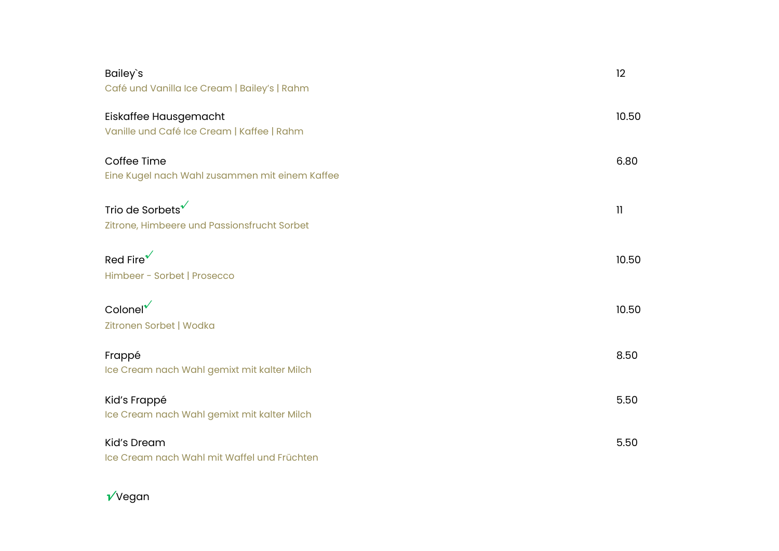| Bailey's<br>Café und Vanilla Ice Cream   Bailey's   Rahm                    | 12           |
|-----------------------------------------------------------------------------|--------------|
| Eiskaffee Hausgemacht<br>Vanille und Café Ice Cream   Kaffee   Rahm         | 10.50        |
| Coffee Time<br>Eine Kugel nach Wahl zusammen mit einem Kaffee               | 6.80         |
| Trio de Sorbets <sup>√</sup><br>Zitrone, Himbeere und Passionsfrucht Sorbet | $\mathbf{1}$ |
| Red Fire <sup><math>\checkmark</math></sup><br>Himbeer - Sorbet   Prosecco  | 10.50        |
| $\text{Colone}^{\mathsf{r}}$<br>Zitronen Sorbet   Wodka                     | 10.50        |
| Frappé<br>Ice Cream nach Wahl gemixt mit kalter Milch                       | 8.50         |
| Kid's Frappé<br>Ice Cream nach Wahl gemixt mit kalter Milch                 | 5.50         |
| <b>Kid's Dream</b><br>Ice Cream nach Wahl mit Waffel und Früchten           | 5.50         |

#### **√** Vegan